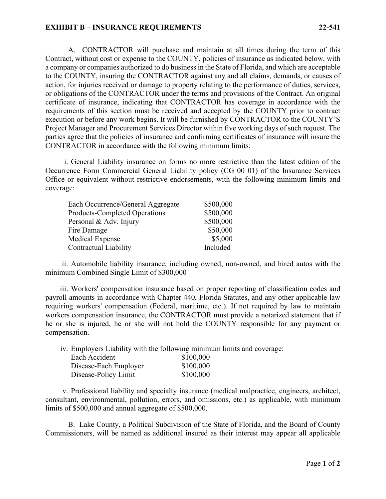## **EXHIBIT B – INSURANCE REQUIREMENTS 22-541**

A. CONTRACTOR will purchase and maintain at all times during the term of this Contract, without cost or expense to the COUNTY, policies of insurance as indicated below, with a company or companies authorized to do business in the State of Florida, and which are acceptable to the COUNTY, insuring the CONTRACTOR against any and all claims, demands, or causes of action, for injuries received or damage to property relating to the performance of duties, services, or obligations of the CONTRACTOR under the terms and provisions of the Contract. An original certificate of insurance, indicating that CONTRACTOR has coverage in accordance with the requirements of this section must be received and accepted by the COUNTY prior to contract execution or before any work begins. It will be furnished by CONTRACTOR to the COUNTY'S Project Manager and Procurement Services Director within five working days of such request. The parties agree that the policies of insurance and confirming certificates of insurance will insure the CONTRACTOR in accordance with the following minimum limits:

i. General Liability insurance on forms no more restrictive than the latest edition of the Occurrence Form Commercial General Liability policy (CG 00 01) of the Insurance Services Office or equivalent without restrictive endorsements, with the following minimum limits and coverage:

| Each Occurrence/General Aggregate    | \$500,000 |
|--------------------------------------|-----------|
| <b>Products-Completed Operations</b> | \$500,000 |
| Personal & Adv. Injury               | \$500,000 |
| Fire Damage                          | \$50,000  |
| Medical Expense                      | \$5,000   |
| Contractual Liability                | Included  |

ii. Automobile liability insurance, including owned, non-owned, and hired autos with the minimum Combined Single Limit of \$300,000

iii. Workers' compensation insurance based on proper reporting of classification codes and payroll amounts in accordance with Chapter 440, Florida Statutes, and any other applicable law requiring workers' compensation (Federal, maritime, etc.). If not required by law to maintain workers compensation insurance, the CONTRACTOR must provide a notarized statement that if he or she is injured, he or she will not hold the COUNTY responsible for any payment or compensation.

iv. Employers Liability with the following minimum limits and coverage:

| Each Accident         | \$100,000 |
|-----------------------|-----------|
| Disease-Each Employer | \$100,000 |
| Disease-Policy Limit  | \$100,000 |

v. Professional liability and specialty insurance (medical malpractice, engineers, architect, consultant, environmental, pollution, errors, and omissions, etc.) as applicable, with minimum limits of \$500,000 and annual aggregate of \$500,000.

B. Lake County, a Political Subdivision of the State of Florida, and the Board of County Commissioners, will be named as additional insured as their interest may appear all applicable